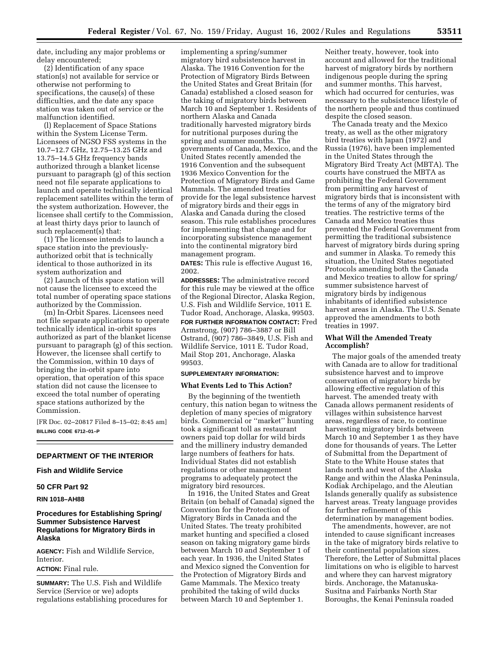date, including any major problems or delay encountered;

(2) Identification of any space station(s) not available for service or otherwise not performing to specifications, the cause(s) of these difficulties, and the date any space station was taken out of service or the malfunction identified.

(l) Replacement of Space Stations within the System License Term. Licensees of NGSO FSS systems in the 10.7–12.7 GHz, 12.75–13.25 GHz and 13.75–14.5 GHz frequency bands authorized through a blanket license pursuant to paragraph (g) of this section need not file separate applications to launch and operate technically identical replacement satellites within the term of the system authorization. However, the licensee shall certify to the Commission, at least thirty days prior to launch of such replacement(s) that:

(1) The licensee intends to launch a space station into the previouslyauthorized orbit that is technically identical to those authorized in its system authorization and

(2) Launch of this space station will not cause the licensee to exceed the total number of operating space stations authorized by the Commission.

(m) In-Orbit Spares. Licensees need not file separate applications to operate technically identical in-orbit spares authorized as part of the blanket license pursuant to paragraph (g) of this section. However, the licensee shall certify to the Commission, within 10 days of bringing the in-orbit spare into operation, that operation of this space station did not cause the licensee to exceed the total number of operating space stations authorized by the Commission.

[FR Doc. 02–20817 Filed 8–15–02; 8:45 am] **BILLING CODE 6712–01–P**

# **DEPARTMENT OF THE INTERIOR**

# **Fish and Wildlife Service**

### **50 CFR Part 92**

**RIN 1018–AH88** 

# **Procedures for Establishing Spring/ Summer Subsistence Harvest Regulations for Migratory Birds in Alaska**

**AGENCY:** Fish and Wildlife Service, Interior.

**ACTION:** Final rule.

**SUMMARY:** The U.S. Fish and Wildlife Service (Service or we) adopts regulations establishing procedures for implementing a spring/summer migratory bird subsistence harvest in Alaska. The 1916 Convention for the Protection of Migratory Birds Between the United States and Great Britain (for Canada) established a closed season for the taking of migratory birds between March 10 and September 1. Residents of northern Alaska and Canada traditionally harvested migratory birds for nutritional purposes during the spring and summer months. The governments of Canada, Mexico, and the United States recently amended the 1916 Convention and the subsequent 1936 Mexico Convention for the Protection of Migratory Birds and Game Mammals. The amended treaties provide for the legal subsistence harvest of migratory birds and their eggs in Alaska and Canada during the closed season. This rule establishes procedures for implementing that change and for incorporating subsistence management into the continental migratory bird management program.

**DATES:** This rule is effective August 16, 2002.

**ADDRESSES:** The administrative record for this rule may be viewed at the office of the Regional Director, Alaska Region, U.S. Fish and Wildlife Service, 1011 E. Tudor Road, Anchorage, Alaska, 99503. **FOR FURTHER INFORMATION CONTACT:** Fred Armstrong, (907) 786–3887 or Bill Ostrand, (907) 786–3849, U.S. Fish and Wildlife Service, 1011 E. Tudor Road, Mail Stop 201, Anchorage, Alaska 99503.

# **SUPPLEMENTARY INFORMATION:**

# **What Events Led to This Action?**

By the beginning of the twentieth century, this nation began to witness the depletion of many species of migratory birds. Commercial or ''market'' hunting took a significant toll as restaurant owners paid top dollar for wild birds and the millinery industry demanded large numbers of feathers for hats. Individual States did not establish regulations or other management programs to adequately protect the migratory bird resources.

In 1916, the United States and Great Britain (on behalf of Canada) signed the Convention for the Protection of Migratory Birds in Canada and the United States. The treaty prohibited market hunting and specified a closed season on taking migratory game birds between March 10 and September 1 of each year. In 1936, the United States and Mexico signed the Convention for the Protection of Migratory Birds and Game Mammals. The Mexico treaty prohibited the taking of wild ducks between March 10 and September 1.

Neither treaty, however, took into account and allowed for the traditional harvest of migratory birds by northern indigenous people during the spring and summer months. This harvest, which had occurred for centuries, was necessary to the subsistence lifestyle of the northern people and thus continued despite the closed season.

The Canada treaty and the Mexico treaty, as well as the other migratory bird treaties with Japan (1972) and Russia (1976), have been implemented in the United States through the Migratory Bird Treaty Act (MBTA). The courts have construed the MBTA as prohibiting the Federal Government from permitting any harvest of migratory birds that is inconsistent with the terms of any of the migratory bird treaties. The restrictive terms of the Canada and Mexico treaties thus prevented the Federal Government from permitting the traditional subsistence harvest of migratory birds during spring and summer in Alaska. To remedy this situation, the United States negotiated Protocols amending both the Canada and Mexico treaties to allow for spring/ summer subsistence harvest of migratory birds by indigenous inhabitants of identified subsistence harvest areas in Alaska. The U.S. Senate approved the amendments to both treaties in 1997.

### **What Will the Amended Treaty Accomplish?**

The major goals of the amended treaty with Canada are to allow for traditional subsistence harvest and to improve conservation of migratory birds by allowing effective regulation of this harvest. The amended treaty with Canada allows permanent residents of villages within subsistence harvest areas, regardless of race, to continue harvesting migratory birds between March 10 and September 1 as they have done for thousands of years. The Letter of Submittal from the Department of State to the White House states that lands north and west of the Alaska Range and within the Alaska Peninsula, Kodiak Archipelago, and the Aleutian Islands generally qualify as subsistence harvest areas. Treaty language provides for further refinement of this determination by management bodies.

The amendments, however, are not intended to cause significant increases in the take of migratory birds relative to their continental population sizes. Therefore, the Letter of Submittal places limitations on who is eligible to harvest and where they can harvest migratory birds. Anchorage, the Matanuska-Susitna and Fairbanks North Star Boroughs, the Kenai Peninsula roaded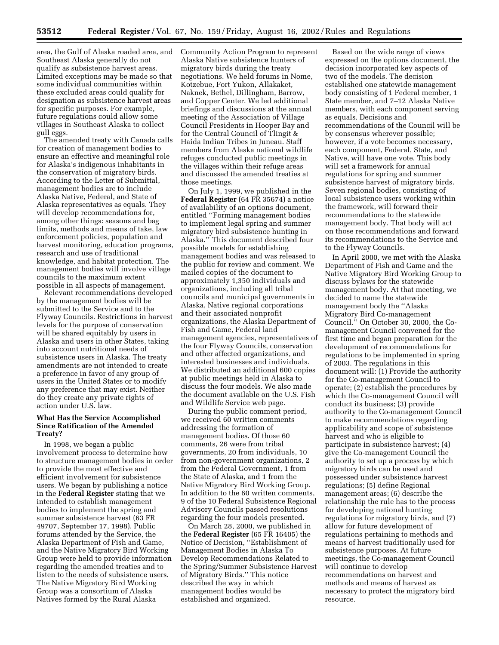area, the Gulf of Alaska roaded area, and Southeast Alaska generally do not qualify as subsistence harvest areas. Limited exceptions may be made so that some individual communities within these excluded areas could qualify for designation as subsistence harvest areas for specific purposes. For example, future regulations could allow some villages in Southeast Alaska to collect gull eggs.

The amended treaty with Canada calls for creation of management bodies to ensure an effective and meaningful role for Alaska's indigenous inhabitants in the conservation of migratory birds. According to the Letter of Submittal, management bodies are to include Alaska Native, Federal, and State of Alaska representatives as equals. They will develop recommendations for, among other things: seasons and bag limits, methods and means of take, law enforcement policies, population and harvest monitoring, education programs, research and use of traditional knowledge, and habitat protection. The management bodies will involve village councils to the maximum extent possible in all aspects of management.

Relevant recommendations developed by the management bodies will be submitted to the Service and to the Flyway Councils. Restrictions in harvest levels for the purpose of conservation will be shared equitably by users in Alaska and users in other States, taking into account nutritional needs of subsistence users in Alaska. The treaty amendments are not intended to create a preference in favor of any group of users in the United States or to modify any preference that may exist. Neither do they create any private rights of action under U.S. law.

## **What Has the Service Accomplished Since Ratification of the Amended Treaty?**

In 1998, we began a public involvement process to determine how to structure management bodies in order to provide the most effective and efficient involvement for subsistence users. We began by publishing a notice in the **Federal Register** stating that we intended to establish management bodies to implement the spring and summer subsistence harvest (63 FR 49707, September 17, 1998). Public forums attended by the Service, the Alaska Department of Fish and Game, and the Native Migratory Bird Working Group were held to provide information regarding the amended treaties and to listen to the needs of subsistence users. The Native Migratory Bird Working Group was a consortium of Alaska Natives formed by the Rural Alaska

Community Action Program to represent Alaska Native subsistence hunters of migratory birds during the treaty negotiations. We held forums in Nome, Kotzebue, Fort Yukon, Allakaket, Naknek, Bethel, Dillingham, Barrow, and Copper Center. We led additional briefings and discussions at the annual meeting of the Association of Village Council Presidents in Hooper Bay and for the Central Council of Tlingit & Haida Indian Tribes in Juneau. Staff members from Alaska national wildlife refuges conducted public meetings in the villages within their refuge areas and discussed the amended treaties at those meetings.

On July 1, 1999, we published in the **Federal Register** (64 FR 35674) a notice of availability of an options document, entitled ''Forming management bodies to implement legal spring and summer migratory bird subsistence hunting in Alaska.'' This document described four possible models for establishing management bodies and was released to the public for review and comment. We mailed copies of the document to approximately 1,350 individuals and organizations, including all tribal councils and municipal governments in Alaska, Native regional corporations and their associated nonprofit organizations, the Alaska Department of Fish and Game, Federal land management agencies, representatives of the four Flyway Councils, conservation and other affected organizations, and interested businesses and individuals. We distributed an additional 600 copies at public meetings held in Alaska to discuss the four models. We also made the document available on the U.S. Fish and Wildlife Service web page.

During the public comment period, we received 60 written comments addressing the formation of management bodies. Of those 60 comments, 26 were from tribal governments, 20 from individuals, 10 from non-government organizations, 2 from the Federal Government, 1 from the State of Alaska, and 1 from the Native Migratory Bird Working Group. In addition to the 60 written comments, 9 of the 10 Federal Subsistence Regional Advisory Councils passed resolutions regarding the four models presented.

On March 28, 2000, we published in the **Federal Register** (65 FR 16405) the Notice of Decision, ''Establishment of Management Bodies in Alaska To Develop Recommendations Related to the Spring/Summer Subsistence Harvest of Migratory Birds.'' This notice described the way in which management bodies would be established and organized.

Based on the wide range of views expressed on the options document, the decision incorporated key aspects of two of the models. The decision established one statewide management body consisting of 1 Federal member, 1 State member, and 7–12 Alaska Native members, with each component serving as equals. Decisions and recommendations of the Council will be by consensus wherever possible; however, if a vote becomes necessary, each component, Federal, State, and Native, will have one vote. This body will set a framework for annual regulations for spring and summer subsistence harvest of migratory birds. Seven regional bodies, consisting of local subsistence users working within the framework, will forward their recommendations to the statewide management body. That body will act on those recommendations and forward its recommendations to the Service and to the Flyway Councils.

In April 2000, we met with the Alaska Department of Fish and Game and the Native Migratory Bird Working Group to discuss bylaws for the statewide management body. At that meeting, we decided to name the statewide management body the ''Alaska Migratory Bird Co-management Council.'' On October 30, 2000, the Comanagement Council convened for the first time and began preparation for the development of recommendations for regulations to be implemented in spring of 2003. The regulations in this document will: (1) Provide the authority for the Co-management Council to operate; (2) establish the procedures by which the Co-management Council will conduct its business; (3) provide authority to the Co-management Council to make recommendations regarding applicability and scope of subsistence harvest and who is eligible to participate in subsistence harvest; (4) give the Co-management Council the authority to set up a process by which migratory birds can be used and possessed under subsistence harvest regulations; (5) define Regional management areas; (6) describe the relationship the rule has to the process for developing national hunting regulations for migratory birds, and (7) allow for future development of regulations pertaining to methods and means of harvest traditionally used for subsistence purposes. At future meetings, the Co-management Council will continue to develop recommendations on harvest and methods and means of harvest as necessary to protect the migratory bird resource.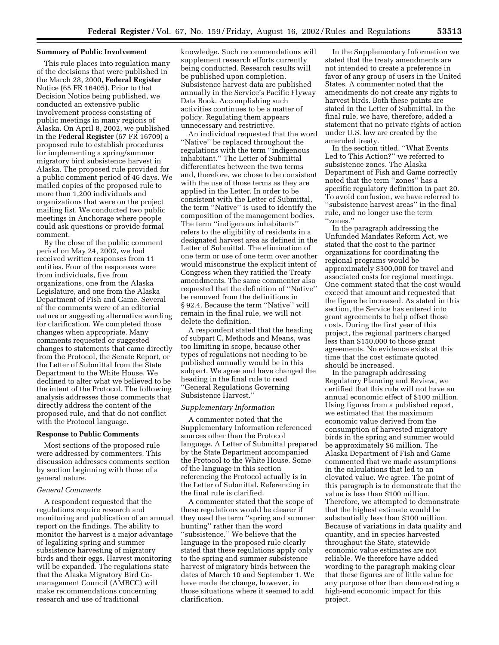#### **Summary of Public Involvement**

This rule places into regulation many of the decisions that were published in the March 28, 2000, **Federal Register** Notice (65 FR 16405). Prior to that Decision Notice being published, we conducted an extensive public involvement process consisting of public meetings in many regions of Alaska. On April 8, 2002, we published in the **Federal Register** (67 FR 16709) a proposed rule to establish procedures for implementing a spring/summer migratory bird subsistence harvest in Alaska. The proposed rule provided for a public comment period of 46 days. We mailed copies of the proposed rule to more than 1,200 individuals and organizations that were on the project mailing list. We conducted two public meetings in Anchorage where people could ask questions or provide formal comment.

By the close of the public comment period on May 24, 2002, we had received written responses from 11 entities. Four of the responses were from individuals, five from organizations, one from the Alaska Legislature, and one from the Alaska Department of Fish and Game. Several of the comments were of an editorial nature or suggesting alternative wording for clarification. We completed those changes when appropriate. Many comments requested or suggested changes to statements that came directly from the Protocol, the Senate Report, or the Letter of Submittal from the State Department to the White House. We declined to alter what we believed to be the intent of the Protocol. The following analysis addresses those comments that directly address the content of the proposed rule, and that do not conflict with the Protocol language.

#### **Response to Public Comments**

Most sections of the proposed rule were addressed by commenters. This discussion addresses comments section by section beginning with those of a general nature.

### *General Comments*

A respondent requested that the regulations require research and monitoring and publication of an annual report on the findings. The ability to monitor the harvest is a major advantage of legalizing spring and summer subsistence harvesting of migratory birds and their eggs. Harvest monitoring will be expanded. The regulations state that the Alaska Migratory Bird Comanagement Council (AMBCC) will make recommendations concerning research and use of traditional

knowledge. Such recommendations will supplement research efforts currently being conducted. Research results will be published upon completion. Subsistence harvest data are published annually in the Service's Pacific Flyway Data Book. Accomplishing such activities continues to be a matter of policy. Regulating them appears unnecessary and restrictive.

An individual requested that the word ''Native'' be replaced throughout the regulations with the term ''indigenous inhabitant.'' The Letter of Submittal differentiates between the two terms and, therefore, we chose to be consistent with the use of those terms as they are applied in the Letter. In order to be consistent with the Letter of Submittal, the term ''Native'' is used to identify the composition of the management bodies. The term ''indigenous inhabitants'' refers to the eligibility of residents in a designated harvest area as defined in the Letter of Submittal. The elimination of one term or use of one term over another would misconstrue the explicit intent of Congress when they ratified the Treaty amendments. The same commenter also requested that the definition of ''Native'' be removed from the definitions in § 92.4. Because the term ''Native'' will remain in the final rule, we will not delete the definition.

A respondent stated that the heading of subpart C, Methods and Means, was too limiting in scope, because other types of regulations not needing to be published annually would be in this subpart. We agree and have changed the heading in the final rule to read ''General Regulations Governing Subsistence Harvest.''

# *Supplementary Information*

A commenter noted that the Supplementary Information referenced sources other than the Protocol language. A Letter of Submittal prepared by the State Department accompanied the Protocol to the White House. Some of the language in this section referencing the Protocol actually is in the Letter of Submittal. Referencing in the final rule is clarified.

A commenter stated that the scope of these regulations would be clearer if they used the term ''spring and summer hunting'' rather than the word ''subsistence.'' We believe that the language in the proposed rule clearly stated that these regulations apply only to the spring and summer subsistence harvest of migratory birds between the dates of March 10 and September 1. We have made the change, however, in those situations where it seemed to add clarification.

In the Supplementary Information we stated that the treaty amendments are not intended to create a preference in favor of any group of users in the United States. A commenter noted that the amendments do not create any rights to harvest birds. Both these points are stated in the Letter of Submittal. In the final rule, we have, therefore, added a statement that no private rights of action under U.S. law are created by the amended treaty.

In the section titled, ''What Events Led to This Action?'' we referred to subsistence zones. The Alaska Department of Fish and Game correctly noted that the term ''zones'' has a specific regulatory definition in part 20. To avoid confusion, we have referred to ''subsistence harvest areas'' in the final rule, and no longer use the term ''zones.''

In the paragraph addressing the Unfunded Mandates Reform Act, we stated that the cost to the partner organizations for coordinating the regional programs would be approximately \$300,000 for travel and associated costs for regional meetings. One comment stated that the cost would exceed that amount and requested that the figure be increased. As stated in this section, the Service has entered into grant agreements to help offset those costs. During the first year of this project, the regional partners charged less than \$150,000 to those grant agreements. No evidence exists at this time that the cost estimate quoted should be increased.

In the paragraph addressing Regulatory Planning and Review, we certified that this rule will not have an annual economic effect of \$100 million. Using figures from a published report, we estimated that the maximum economic value derived from the consumption of harvested migratory birds in the spring and summer would be approximately \$6 million. The Alaska Department of Fish and Game commented that we made assumptions in the calculations that led to an elevated value. We agree. The point of this paragraph is to demonstrate that the value is less than \$100 million. Therefore, we attempted to demonstrate that the highest estimate would be substantially less than \$100 million. Because of variations in data quality and quantity, and in species harvested throughout the State, statewide economic value estimates are not reliable. We therefore have added wording to the paragraph making clear that these figures are of little value for any purpose other than demonstrating a high-end economic impact for this project.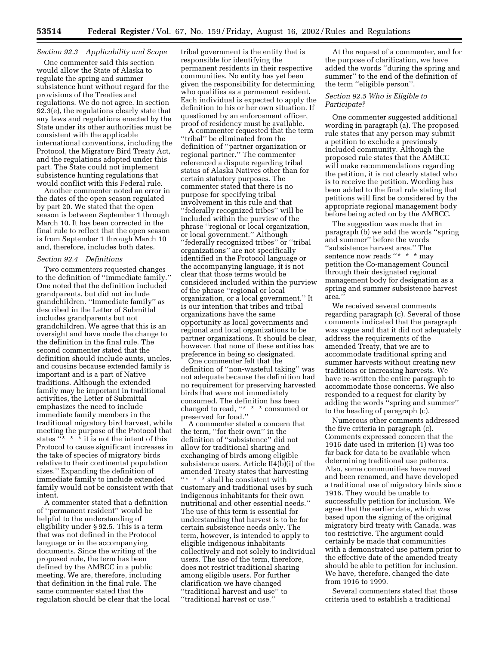# *Section 92.3 Applicability and Scope*

One commenter said this section would allow the State of Alaska to regulate the spring and summer subsistence hunt without regard for the provisions of the Treaties and regulations. We do not agree. In section 92.3(e), the regulations clearly state that any laws and regulations enacted by the State under its other authorities must be consistent with the applicable international conventions, including the Protocol, the Migratory Bird Treaty Act, and the regulations adopted under this part. The State could not implement subsistence hunting regulations that would conflict with this Federal rule.

Another commenter noted an error in the dates of the open season regulated by part 20. We stated that the open season is between September 1 through March 10. It has been corrected in the final rule to reflect that the open season is from September 1 through March 10 and, therefore, includes both dates.

#### *Section 92.4 Definitions*

Two commenters requested changes to the definition of ''immediate family.'' One noted that the definition included grandparents, but did not include grandchildren. ''Immediate family'' as described in the Letter of Submittal includes grandparents but not grandchildren. We agree that this is an oversight and have made the change to the definition in the final rule. The second commenter stated that the definition should include aunts, uncles, and cousins because extended family is important and is a part of Native traditions. Although the extended family may be important in traditional activities, the Letter of Submittal emphasizes the need to include immediate family members in the traditional migratory bird harvest, while meeting the purpose of the Protocol that states  $\cdots$   $\cdots$   $\ddot{\cdot}$  it is not the intent of this Protocol to cause significant increases in the take of species of migratory birds relative to their continental population sizes.'' Expanding the definition of immediate family to include extended family would not be consistent with that intent.

A commenter stated that a definition of ''permanent resident'' would be helpful to the understanding of eligibility under § 92.5. This is a term that was not defined in the Protocol language or in the accompanying documents. Since the writing of the proposed rule, the term has been defined by the AMBCC in a public meeting. We are, therefore, including that definition in the final rule. The same commenter stated that the regulation should be clear that the local tribal government is the entity that is responsible for identifying the permanent residents in their respective communities. No entity has yet been given the responsibility for determining who qualifies as a permanent resident. Each individual is expected to apply the definition to his or her own situation. If questioned by an enforcement officer,<br>proof of residency must be available.

A commenter requested that the term ''tribal'' be eliminated from the definition of ''partner organization or regional partner.'' The commenter referenced a dispute regarding tribal status of Alaska Natives other than for certain statutory purposes. The commenter stated that there is no purpose for specifying tribal involvement in this rule and that ''federally recognized tribes'' will be included within the purview of the phrase ''regional or local organization, or local government.'' Although ''federally recognized tribes'' or ''tribal organizations'' are not specifically identified in the Protocol language or the accompanying language, it is not clear that those terms would be considered included within the purview of the phrase ''regional or local organization, or a local government.'' It is our intention that tribes and tribal organizations have the same opportunity as local governments and regional and local organizations to be partner organizations. It should be clear, however, that none of these entities has preference in being so designated. One commenter felt that the

definition of ''non-wasteful taking'' was not adequate because the definition had no requirement for preserving harvested birds that were not immediately consumed. The definition has been changed to read, ''\* \* \* consumed or preserved for food.''

A commenter stated a concern that the term, ''for their own'' in the definition of ''subsistence'' did not allow for traditional sharing and exchanging of birds among eligible subsistence users. Article II4(b)(i) of the amended Treaty states that harvesting ''\* \* \* shall be consistent with customary and traditional uses by such indigenous inhabitants for their own nutritional and other essential needs.'' The use of this term is essential for understanding that harvest is to be for certain subsistence needs only. The term, however, is intended to apply to eligible indigenous inhabitants collectively and not solely to individual users. The use of the term, therefore, does not restrict traditional sharing among eligible users. For further clarification we have changed ''traditional harvest and use'' to ''traditional harvest or use.''

At the request of a commenter, and for the purpose of clarification, we have added the words ''during the spring and summer'' to the end of the definition of the term ''eligible person''.

### *Section 92.5 Who is Eligible to Participate?*

One commenter suggested additional wording in paragraph (a). The proposed rule states that any person may submit a petition to exclude a previously included community. Although the proposed rule states that the AMBCC will make recommendations regarding the petition, it is not clearly stated who is to receive the petition. Wording has been added to the final rule stating that petitions will first be considered by the appropriate regional management body before being acted on by the AMBCC.

The suggestion was made that in paragraph (b) we add the words ''spring and summer'' before the words ''subsistence harvest area.'' The sentence now reads "\* \* \* may petition the Co-management Council through their designated regional management body for designation as a spring and summer subsistence harvest area.''

We received several comments regarding paragraph (c). Several of those comments indicated that the paragraph was vague and that it did not adequately address the requirements of the amended Treaty, that we are to accommodate traditional spring and summer harvests without creating new traditions or increasing harvests. We have re-written the entire paragraph to accommodate those concerns. We also responded to a request for clarity by adding the words ''spring and summer'' to the heading of paragraph (c).

Numerous other comments addressed the five criteria in paragraph (c). Comments expressed concern that the 1916 date used in criterion (1) was too far back for data to be available when determining traditional use patterns. Also, some communities have moved and been renamed, and have developed a traditional use of migratory birds since 1916. They would be unable to successfully petition for inclusion. We agree that the earlier date, which was based upon the signing of the original migratory bird treaty with Canada, was too restrictive. The argument could certainly be made that communities with a demonstrated use pattern prior to the effective date of the amended treaty should be able to petition for inclusion. We have, therefore, changed the date from 1916 to 1999.

Several commenters stated that those criteria used to establish a traditional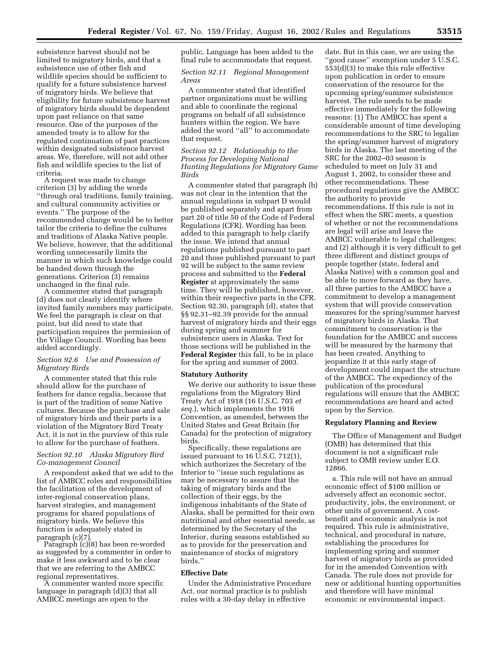subsistence harvest should not be limited to migratory birds, and that a subsistence use of other fish and wildlife species should be sufficient to qualify for a future subsistence harvest of migratory birds. We believe that eligibility for future subsistence harvest of migratory birds should be dependent upon past reliance on that same resource. One of the purposes of the amended treaty is to allow for the regulated continuation of past practices within designated subsistence harvest areas. We, therefore, will not add other fish and wildlife species to the list of criteria.

A request was made to change criterion (3) by adding the words ''through oral traditions, family training, and cultural community activities or events.'' The purpose of the recommended change would be to better tailor the criteria to define the cultures and traditions of Alaska Native people. We believe, however, that the additional wording unnecessarily limits the manner in which such knowledge could be handed down through the generations. Criterion (3) remains unchanged in the final rule. A commenter stated that paragraph

(d) does not clearly identify where invited family members may participate. We feel the paragraph is clear on that point, but did need to state that participation requires the permission of the Village Council. Wording has been added accordingly.

## *Section 92.6 Use and Possession of Migratory Birds*

A commenter stated that this rule should allow for the purchase of feathers for dance regalia, because that is part of the tradition of some Native cultures. Because the purchase and sale of migratory birds and their parts is a violation of the Migratory Bird Treaty Act, it is not in the purview of this rule to allow for the purchase of feathers.

# *Section 92.10 Alaska Migratory Bird Co-management Council*

A respondent asked that we add to the list of AMBCC roles and responsibilities the facilitation of the development of inter-regional conservation plans, harvest strategies, and management programs for shared populations of migratory birds. We believe this function is adequately stated in paragraph (c)(7). Paragraph (c)(8) has been re-worded

as suggested by a commenter in order to make it less awkward and to be clear that we are referring to the AMBCC

A commenter wanted more specific language in paragraph (d)(3) that all AMBCC meetings are open to the

public. Language has been added to the final rule to accommodate that request.

# *Section 92.11 Regional Management Areas*

A commenter stated that identified partner organizations must be willing and able to coordinate the regional programs on behalf of all subsistence hunters within the region. We have added the word ''all'' to accommodate that request.

# *Section 92.12 Relationship to the Process for Developing National Hunting Regulations for Migratory Game Birds*

A commenter stated that paragraph (b) was not clear in the intention that the annual regulations in subpart D would be published separately and apart from part 20 of title 50 of the Code of Federal Regulations (CFR). Wording has been added to this paragraph to help clarify the issue. We intend that annual regulations published pursuant to part 20 and those published pursuant to part 92 will be subject to the same review process and submitted to the **Federal Register** at approximately the same time. They will be published, however, within their respective parts in the CFR. Section 92.30, paragraph (d), states that §§ 92.31–92.39 provide for the annual harvest of migratory birds and their eggs during spring and summer for subsistence users in Alaska. Text for those sections will be published in the **Federal Register** this fall, to be in place for the spring and summer of 2003.

#### **Statutory Authority**

We derive our authority to issue these regulations from the Migratory Bird Treaty Act of 1918 (16 U.S.C. 703 *et seq.*), which implements the 1916 Convention, as amended, between the United States and Great Britain (for Canada) for the protection of migratory birds.

Specifically, these regulations are issued pursuant to 16 U.S.C. 712(1), which authorizes the Secretary of the Interior to ''issue such regulations as may be necessary to assure that the taking of migratory birds and the collection of their eggs, by the indigenous inhabitants of the State of Alaska, shall be permitted for their own nutritional and other essential needs, as determined by the Secretary of the Interior, during seasons established so as to provide for the preservation and maintenance of stocks of migratory birds.''

#### **Effective Date**

Under the Administrative Procedure Act, our normal practice is to publish rules with a 30-day delay in effective

date. But in this case, we are using the ''good cause'' exemption under 5 U.S.C. 553(d)(3) to make this rule effective upon publication in order to ensure conservation of the resource for the upcoming spring/summer subsistence harvest. The rule needs to be made effective immediately for the following reasons: (1) The AMBCC has spent a considerable amount of time developing recommendations to the SRC to legalize the spring/summer harvest of migratory birds in Alaska. The last meeting of the SRC for the 2002–03 season is scheduled to meet on July 31 and August 1, 2002, to consider these and other recommendations. These procedural regulations give the AMBCC the authority to provide recommendations. If this rule is not in effect when the SRC meets, a question of whether or not the recommendations are legal will arise and leave the AMBCC vulnerable to legal challenges; and (2) although it is very difficult to get three different and distinct groups of people together (state, federal and Alaska Native) with a common goal and be able to move forward as they have, all three parties to the AMBCC have a commitment to develop a management system that will provide conservation measures for the spring/summer harvest of migratory birds in Alaska. That commitment to conservation is the foundation for the AMBCC and success will be measured by the harmony that has been created. Anything to jeopardize it at this early stage of development could impact the structure of the AMBCC. The expediency of the publication of the procedural regulations will ensure that the AMBCC recommendations are heard and acted upon by the Service.

#### **Regulatory Planning and Review**

The Office of Management and Budget (OMB) has determined that this document is not a significant rule subject to OMB review under E.O. 12866.

a. This rule will not have an annual economic effect of \$100 million or adversely affect an economic sector, productivity, jobs, the environment, or other units of government. A costbenefit and economic analysis is not required. This rule is administrative, technical, and procedural in nature, establishing the procedures for implementing spring and summer harvest of migratory birds as provided for in the amended Convention with Canada. The rule does not provide for new or additional hunting opportunities and therefore will have minimal economic or environmental impact.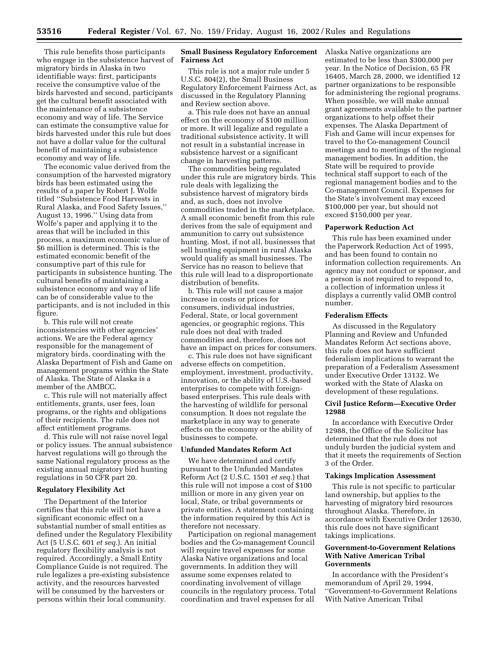This rule benefits those participants who engage in the subsistence harvest of migratory birds in Alaska in two identifiable ways: first, participants receive the consumptive value of the birds harvested and second, participants get the cultural benefit associated with the maintenance of a subsistence economy and way of life. The Service can estimate the consumptive value for birds harvested under this rule but does not have a dollar value for the cultural benefit of maintaining a subsistence economy and way of life.

The economic value derived from the consumption of the harvested migratory birds has been estimated using the results of a paper by Robert J. Wolfe titled ''Subsistence Food Harvests in Rural Alaska, and Food Safety Issues,'' August 13, 1996.'' Using data from Wolfe's paper and applying it to the areas that will be included in this process, a maximum economic value of \$6 million is determined. This is the estimated economic benefit of the consumptive part of this rule for participants in subsistence hunting. The cultural benefits of maintaining a subsistence economy and way of life can be of considerable value to the participants, and is not included in this figure.

b. This rule will not create inconsistencies with other agencies' actions. We are the Federal agency responsible for the management of migratory birds, coordinating with the Alaska Department of Fish and Game on management programs within the State of Alaska. The State of Alaska is a member of the AMBCC.

c. This rule will not materially affect entitlements, grants, user fees, loan programs, or the rights and obligations of their recipients. The rule does not affect entitlement programs.

d. This rule will not raise novel legal or policy issues. The annual subsistence harvest regulations will go through the same National regulatory process as the existing annual migratory bird hunting regulations in 50 CFR part 20.

### **Regulatory Flexibility Act**

The Department of the Interior certifies that this rule will not have a significant economic effect on a substantial number of small entities as defined under the Regulatory Flexibility Act (5 U.S.C. 601 *et seq.*). An initial regulatory flexibility analysis is not required. Accordingly, a Small Entity Compliance Guide is not required. The rule legalizes a pre-existing subsistence activity, and the resources harvested will be consumed by the harvesters or persons within their local community.

## **Small Business Regulatory Enforcement Fairness Act**

This rule is not a major rule under 5 U.S.C. 804(2), the Small Business Regulatory Enforcement Fairness Act, as discussed in the Regulatory Planning and Review section above.

a. This rule does not have an annual effect on the economy of \$100 million or more. It will legalize and regulate a traditional subsistence activity. It will not result in a substantial increase in subsistence harvest or a significant change in harvesting patterns.

The commodities being regulated under this rule are migratory birds. This rule deals with legalizing the subsistence harvest of migratory birds and, as such, does not involve commodities traded in the marketplace. A small economic benefit from this rule derives from the sale of equipment and ammunition to carry out subsistence hunting. Most, if not all, businesses that sell hunting equipment in rural Alaska would qualify as small businesses. The Service has no reason to believe that this rule will lead to a disproportionate distribution of benefits.

b. This rule will not cause a major increase in costs or prices for consumers, individual industries, Federal, State, or local government agencies, or geographic regions. This rule does not deal with traded commodities and, therefore, does not have an impact on prices for consumers.

c. This rule does not have significant adverse effects on competition, employment, investment, productivity, innovation, or the ability of U.S.-based enterprises to compete with foreignbased enterprises. This rule deals with the harvesting of wildlife for personal consumption. It does not regulate the marketplace in any way to generate effects on the economy or the ability of businesses to compete.

#### **Unfunded Mandates Reform Act**

We have determined and certify pursuant to the Unfunded Mandates Reform Act (2 U.S.C. 1501 *et seq.*) that this rule will not impose a cost of \$100 million or more in any given year on local, State, or tribal governments or private entities. A statement containing the information required by this Act is therefore not necessary.

Participation on regional management bodies and the Co-management Council will require travel expenses for some Alaska Native organizations and local governments. In addition they will assume some expenses related to coordinating involvement of village councils in the regulatory process. Total coordination and travel expenses for all

Alaska Native organizations are estimated to be less than \$300,000 per year. In the Notice of Decision, 65 FR 16405, March 28, 2000, we identified 12 partner organizations to be responsible for administering the regional programs. When possible, we will make annual grant agreements available to the partner organizations to help offset their expenses. The Alaska Department of Fish and Game will incur expenses for travel to the Co-management Council meetings and to meetings of the regional management bodies. In addition, the State will be required to provide technical staff support to each of the regional management bodies and to the Co-management Council. Expenses for the State's involvement may exceed \$100,000 per year, but should not exceed \$150,000 per year.

#### **Paperwork Reduction Act**

This rule has been examined under the Paperwork Reduction Act of 1995, and has been found to contain no information collection requirements. An agency may not conduct or sponsor, and a person is not required to respond to, a collection of information unless it displays a currently valid OMB control number.

#### **Federalism Effects**

As discussed in the Regulatory Planning and Review and Unfunded Mandates Reform Act sections above, this rule does not have sufficient federalism implications to warrant the preparation of a Federalism Assessment under Executive Order 13132. We worked with the State of Alaska on development of these regulations.

#### **Civil Justice Reform—Executive Order 12988**

In accordance with Executive Order 12988, the Office of the Solicitor has determined that the rule does not unduly burden the judicial system and that it meets the requirements of Section 3 of the Order.

#### **Takings Implication Assessment**

This rule is not specific to particular land ownership, but applies to the harvesting of migratory bird resources throughout Alaska. Therefore, in accordance with Executive Order 12630, this rule does not have significant takings implications.

### **Government-to-Government Relations With Native American Tribal Governments**

In accordance with the President's memorandum of April 29, 1994, ''Government-to-Government Relations With Native American Tribal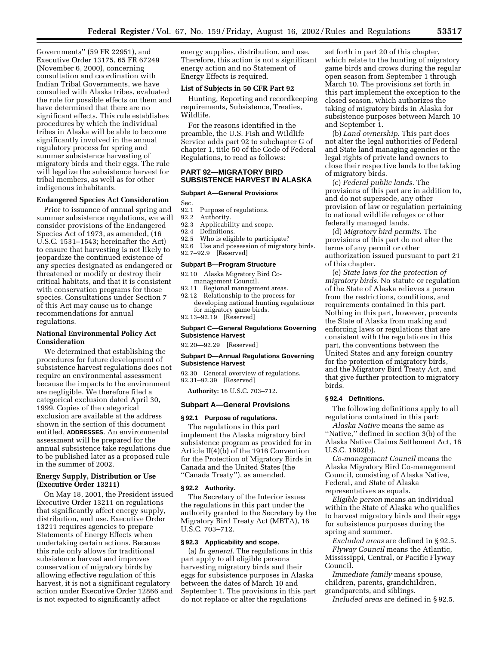Governments'' (59 FR 22951), and Executive Order 13175, 65 FR 67249 (November 6, 2000), concerning consultation and coordination with Indian Tribal Governments, we have consulted with Alaska tribes, evaluated the rule for possible effects on them and have determined that there are no significant effects. This rule establishes procedures by which the individual tribes in Alaska will be able to become significantly involved in the annual regulatory process for spring and summer subsistence harvesting of migratory birds and their eggs. The rule will legalize the subsistence harvest for tribal members, as well as for other indigenous inhabitants.

# **Endangered Species Act Consideration**

Prior to issuance of annual spring and summer subsistence regulations, we will consider provisions of the Endangered Species Act of 1973, as amended, (16 U.S.C. 1531–1543; hereinafter the Act) to ensure that harvesting is not likely to jeopardize the continued existence of any species designated as endangered or threatened or modify or destroy their critical habitats, and that it is consistent with conservation programs for those species. Consultations under Section 7 of this Act may cause us to change recommendations for annual regulations.

# **National Environmental Policy Act Consideration**

We determined that establishing the procedures for future development of subsistence harvest regulations does not require an environmental assessment because the impacts to the environment are negligible. We therefore filed a categorical exclusion dated April 30, 1999. Copies of the categorical exclusion are available at the address shown in the section of this document entitled, **ADDRESSES**. An environmental assessment will be prepared for the annual subsistence take regulations due to be published later as a proposed rule in the summer of 2002.

#### **Energy Supply, Distribution or Use (Executive Order 13211)**

On May 18, 2001, the President issued Executive Order 13211 on regulations that significantly affect energy supply, distribution, and use. Executive Order 13211 requires agencies to prepare Statements of Energy Effects when undertaking certain actions. Because this rule only allows for traditional subsistence harvest and improves conservation of migratory birds by allowing effective regulation of this harvest, it is not a significant regulatory action under Executive Order 12866 and is not expected to significantly affect

energy supplies, distribution, and use. Therefore, this action is not a significant energy action and no Statement of Energy Effects is required.

### **List of Subjects in 50 CFR Part 92**

Hunting, Reporting and recordkeeping requirements, Subsistence, Treaties, Wildlife.

For the reasons identified in the preamble, the U.S. Fish and Wildlife Service adds part 92 to subchapter G of chapter 1, title 50 of the Code of Federal Regulations, to read as follows:

#### **PART 92—MIGRATORY BIRD SUBSISTENCE HARVEST IN ALASKA**

#### **Subpart A—General Provisions**

Sec.

- 92.1 Purpose of regulations.<br>92.2 Authority.
- Authority.
- 92.3 Applicability and scope.
- 92.4 Definitions.
- 92.5 Who is eligible to participate?<br>92.6 Use and possession of migrato
- Use and possession of migratory birds.
- 92.7–92.9 [Reserved]

# **Subpart B—Program Structure**

- 92.10 Alaska Migratory Bird Comanagement Council.<br>92.11 Regional managem
- 92.11 Regional management areas.<br>92.12 Relationship to the process f Relationship to the process for developing national hunting regulations for migratory game birds.
- 92.13–92.19 [Reserved]

## **Subpart C—General Regulations Governing Subsistence Harvest**

### 92.20—92.29 [Reserved]

#### **Subpart D—Annual Regulations Governing Subsistence Harvest**

92.30 General overview of regulations. 92.31–92.39 [Reserved]

**Authority:** 16 U.S.C. 703–712.

## **Subpart A—General Provisions**

### **§ 92.1 Purpose of regulations.**

The regulations in this part implement the Alaska migratory bird subsistence program as provided for in Article II(4)(b) of the 1916 Convention for the Protection of Migratory Birds in Canada and the United States (the ''Canada Treaty''), as amended.

### **§ 92.2 Authority.**

The Secretary of the Interior issues the regulations in this part under the authority granted to the Secretary by the Migratory Bird Treaty Act (MBTA), 16 U.S.C. 703–712.

# **§ 92.3 Applicability and scope.**

(a) *In general.* The regulations in this part apply to all eligible persons harvesting migratory birds and their eggs for subsistence purposes in Alaska between the dates of March 10 and September 1. The provisions in this part do not replace or alter the regulations

set forth in part 20 of this chapter, which relate to the hunting of migratory game birds and crows during the regular open season from September 1 through March 10. The provisions set forth in this part implement the exception to the closed season, which authorizes the taking of migratory birds in Alaska for subsistence purposes between March 10 and September 1.

(b) *Land ownership.* This part does not alter the legal authorities of Federal and State land managing agencies or the legal rights of private land owners to close their respective lands to the taking of migratory birds.

(c) *Federal public lands.* The provisions of this part are in addition to, and do not supersede, any other provision of law or regulation pertaining to national wildlife refuges or other federally managed lands.

(d) *Migratory bird permits.* The provisions of this part do not alter the terms of any permit or other authorization issued pursuant to part 21 of this chapter.

(e) *State laws for the protection of migratory birds.* No statute or regulation of the State of Alaska relieves a person from the restrictions, conditions, and requirements contained in this part. Nothing in this part, however, prevents the State of Alaska from making and enforcing laws or regulations that are consistent with the regulations in this part, the conventions between the United States and any foreign country for the protection of migratory birds, and the Migratory Bird Treaty Act, and that give further protection to migratory birds.

### **§ 92.4 Definitions.**

The following definitions apply to all regulations contained in this part:

*Alaska Native* means the same as ''Native,'' defined in section 3(b) of the Alaska Native Claims Settlement Act, 16 U.S.C. 1602(b).

*Co-management Council* means the Alaska Migratory Bird Co-management Council, consisting of Alaska Native, Federal, and State of Alaska representatives as equals.

*Eligible person* means an individual within the State of Alaska who qualifies to harvest migratory birds and their eggs for subsistence purposes during the spring and summer.

*Excluded areas* are defined in § 92.5.

*Flyway Council* means the Atlantic, Mississippi, Central, or Pacific Flyway Council.

*Immediate family* means spouse, children, parents, grandchildren, grandparents, and siblings.

*Included areas* are defined in § 92.5.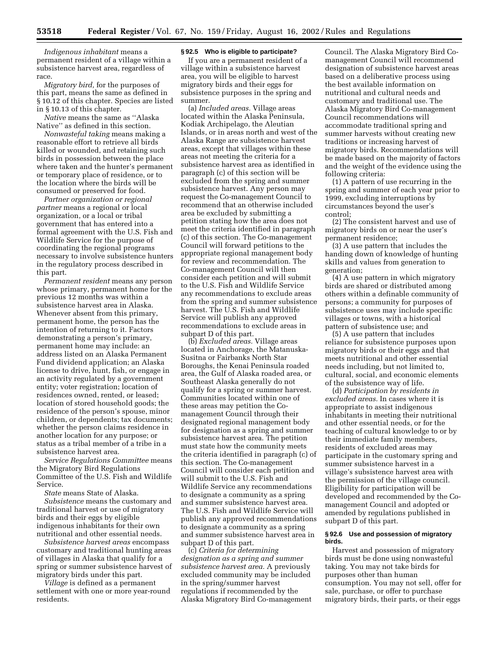*Indigenous inhabitant* means a permanent resident of a village within a subsistence harvest area, regardless of race.

*Migratory bird,* for the purposes of this part, means the same as defined in § 10.12 of this chapter. Species are listed in § 10.13 of this chapter.

*Native* means the same as ''Alaska Native'' as defined in this section.

*Nonwasteful taking* means making a reasonable effort to retrieve all birds killed or wounded, and retaining such birds in possession between the place where taken and the hunter's permanent or temporary place of residence, or to the location where the birds will be consumed or preserved for food.

*Partner organization or regional partner* means a regional or local organization, or a local or tribal government that has entered into a formal agreement with the U.S. Fish and Wildlife Service for the purpose of coordinating the regional programs necessary to involve subsistence hunters in the regulatory process described in this part.

*Permanent resident* means any person whose primary, permanent home for the previous 12 months was within a subsistence harvest area in Alaska. Whenever absent from this primary, permanent home, the person has the intention of returning to it. Factors demonstrating a person's primary, permanent home may include: an address listed on an Alaska Permanent Fund dividend application; an Alaska license to drive, hunt, fish, or engage in an activity regulated by a government entity; voter registration; location of residences owned, rented, or leased; location of stored household goods; the residence of the person's spouse, minor children, or dependents; tax documents; whether the person claims residence in another location for any purpose; or status as a tribal member of a tribe in a subsistence harvest area.

*Service Regulations Committee* means the Migratory Bird Regulations Committee of the U.S. Fish and Wildlife Service.

*State* means State of Alaska.

*Subsistence* means the customary and traditional harvest or use of migratory birds and their eggs by eligible indigenous inhabitants for their own nutritional and other essential needs.

*Subsistence harvest areas* encompass customary and traditional hunting areas of villages in Alaska that qualify for a spring or summer subsistence harvest of migratory birds under this part.

*Village* is defined as a permanent settlement with one or more year-round residents.

### **§ 92.5 Who is eligible to participate?**

If you are a permanent resident of a village within a subsistence harvest area, you will be eligible to harvest migratory birds and their eggs for subsistence purposes in the spring and summer.

(a) *Included areas.* Village areas located within the Alaska Peninsula, Kodiak Archipelago, the Aleutian Islands, or in areas north and west of the Alaska Range are subsistence harvest areas, except that villages within these areas not meeting the criteria for a subsistence harvest area as identified in paragraph (c) of this section will be excluded from the spring and summer subsistence harvest. Any person may request the Co-management Council to recommend that an otherwise included area be excluded by submitting a petition stating how the area does not meet the criteria identified in paragraph (c) of this section. The Co-management Council will forward petitions to the appropriate regional management body for review and recommendation. The Co-management Council will then consider each petition and will submit to the U.S. Fish and Wildlife Service any recommendations to exclude areas from the spring and summer subsistence harvest. The U.S. Fish and Wildlife Service will publish any approved recommendations to exclude areas in subpart D of this part.

(b) *Excluded areas.* Village areas located in Anchorage, the Matanuska-Susitna or Fairbanks North Star Boroughs, the Kenai Peninsula roaded area, the Gulf of Alaska roaded area, or Southeast Alaska generally do not qualify for a spring or summer harvest. Communities located within one of these areas may petition the Comanagement Council through their designated regional management body for designation as a spring and summer subsistence harvest area. The petition must state how the community meets the criteria identified in paragraph (c) of this section. The Co-management Council will consider each petition and will submit to the U.S. Fish and Wildlife Service any recommendations to designate a community as a spring and summer subsistence harvest area. The U.S. Fish and Wildlife Service will publish any approved recommendations to designate a community as a spring and summer subsistence harvest area in subpart D of this part.

(c) *Criteria for determining designation as a spring and summer subsistence harvest area.* A previously excluded community may be included in the spring/summer harvest regulations if recommended by the Alaska Migratory Bird Co-management Council. The Alaska Migratory Bird Comanagement Council will recommend designation of subsistence harvest areas based on a deliberative process using the best available information on nutritional and cultural needs and customary and traditional use. The Alaska Migratory Bird Co-management Council recommendations will accommodate traditional spring and summer harvests without creating new traditions or increasing harvest of migratory birds. Recommendations will be made based on the majority of factors and the weight of the evidence using the following criteria:

(1) A pattern of use recurring in the spring and summer of each year prior to 1999, excluding interruptions by circumstances beyond the user's control;

(2) The consistent harvest and use of migratory birds on or near the user's permanent residence;

(3) A use pattern that includes the handing down of knowledge of hunting skills and values from generation to generation;

(4) A use pattern in which migratory birds are shared or distributed among others within a definable community of persons; a community for purposes of subsistence uses may include specific villages or towns, with a historical pattern of subsistence use; and

(5) A use pattern that includes reliance for subsistence purposes upon migratory birds or their eggs and that meets nutritional and other essential needs including, but not limited to, cultural, social, and economic elements of the subsistence way of life.

(d) *Participation by residents in excluded areas.* In cases where it is appropriate to assist indigenous inhabitants in meeting their nutritional and other essential needs, or for the teaching of cultural knowledge to or by their immediate family members, residents of excluded areas may participate in the customary spring and summer subsistence harvest in a village's subsistence harvest area with the permission of the village council. Eligibility for participation will be developed and recommended by the Comanagement Council and adopted or amended by regulations published in subpart D of this part.

#### **§ 92.6 Use and possession of migratory birds.**

Harvest and possession of migratory birds must be done using nonwasteful taking. You may not take birds for purposes other than human consumption. You may not sell, offer for sale, purchase, or offer to purchase migratory birds, their parts, or their eggs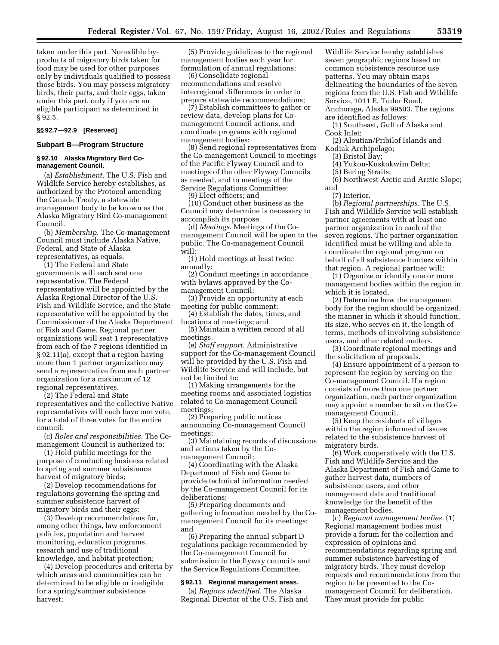taken under this part. Nonedible byproducts of migratory birds taken for food may be used for other purposes only by individuals qualified to possess those birds. You may possess migratory birds, their parts, and their eggs, taken under this part, only if you are an eligible participant as determined in § 92.5.

#### **§§ 92.7—92.9 [Reserved]**

# **Subpart B—Program Structure**

#### **§ 92.10 Alaska Migratory Bird Comanagement Council.**

(a) *Establishment.* The U.S. Fish and Wildlife Service hereby establishes, as authorized by the Protocol amending the Canada Treaty, a statewide management body to be known as the Alaska Migratory Bird Co-management Council.

(b) *Membership.* The Co-management Council must include Alaska Native, Federal, and State of Alaska representatives, as equals.

(1) The Federal and State governments will each seat one representative. The Federal representative will be appointed by the Alaska Regional Director of the U.S. Fish and Wildlife Service, and the State representative will be appointed by the Commissioner of the Alaska Department of Fish and Game. Regional partner organizations will seat 1 representative from each of the 7 regions identified in § 92.11(a), except that a region having more than 1 partner organization may send a representative from each partner organization for a maximum of 12 regional representatives.

(2) The Federal and State representatives and the collective Native representatives will each have one vote, for a total of three votes for the entire council.

(c) *Roles and responsibilities.* The Comanagement Council is authorized to:

(1) Hold public meetings for the purpose of conducting business related to spring and summer subsistence harvest of migratory birds;

(2) Develop recommendations for regulations governing the spring and summer subsistence harvest of migratory birds and their eggs;

(3) Develop recommendations for, among other things, law enforcement policies, population and harvest monitoring, education programs, research and use of traditional knowledge, and habitat protection;

(4) Develop procedures and criteria by which areas and communities can be determined to be eligible or ineligible for a spring/summer subsistence harvest;

(5) Provide guidelines to the regional management bodies each year for formulation of annual regulations;

(6) Consolidate regional recommendations and resolve interregional differences in order to prepare statewide recommendations;

(7) Establish committees to gather or review data, develop plans for Comanagement Council actions, and coordinate programs with regional management bodies;

(8) Send regional representatives from the Co-management Council to meetings of the Pacific Flyway Council and to meetings of the other Flyway Councils as needed, and to meetings of the Service Regulations Committee; (9) Elect officers; and

(10) Conduct other business as the

Council may determine is necessary to accomplish its purpose.

(d) *Meetings.* Meetings of the Comanagement Council will be open to the public. The Co-management Council will:

(1) Hold meetings at least twice annually;

(2) Conduct meetings in accordance with bylaws approved by the Comanagement Council;

(3) Provide an opportunity at each meeting for public comment;

(4) Establish the dates, times, and locations of meetings; and

(5) Maintain a written record of all meetings.

(e) *Staff support.* Administrative support for the Co-management Council will be provided by the U.S. Fish and Wildlife Service and will include, but not be limited to:

(1) Making arrangements for the meeting rooms and associated logistics related to Co-management Council meetings;

(2) Preparing public notices announcing Co-management Council meetings;

(3) Maintaining records of discussions and actions taken by the Comanagement Council;

(4) Coordinating with the Alaska Department of Fish and Game to provide technical information needed by the Co-management Council for its deliberations;

(5) Preparing documents and gathering information needed by the Comanagement Council for its meetings; and

(6) Preparing the annual subpart D regulations package recommended by the Co-management Council for submission to the flyway councils and the Service Regulations Committee.

### **§ 92.11 Regional management areas.**

(a) *Regions identified.* The Alaska Regional Director of the U.S. Fish and Wildlife Service hereby establishes seven geographic regions based on common subsistence resource use patterns. You may obtain maps delineating the boundaries of the seven regions from the U.S. Fish and Wildlife Service, 1011 E. Tudor Road, Anchorage, Alaska 99503. The regions are identified as follows:

(1) Southeast, Gulf of Alaska and Cook Inlet;

(2) Aleutian/Pribilof Islands and Kodiak Archipelago;

(3) Bristol Bay;

(4) Yukon-Kuskokwim Delta;

(5) Bering Straits;

(6) Northwest Arctic and Arctic Slope; and

(7) Interior.

(b) *Regional partnerships.* The U.S. Fish and Wildlife Service will establish partner agreements with at least one partner organization in each of the seven regions. The partner organization identified must be willing and able to coordinate the regional program on behalf of all subsistence hunters within that region. A regional partner will:

(1) Organize or identify one or more management bodies within the region in which it is located.

(2) Determine how the management body for the region should be organized, the manner in which it should function, its size, who serves on it, the length of terms, methods of involving subsistence users, and other related matters.

(3) Coordinate regional meetings and the solicitation of proposals.

(4) Ensure appointment of a person to represent the region by serving on the Co-management Council. If a region consists of more than one partner organization, each partner organization may appoint a member to sit on the Comanagement Council.

(5) Keep the residents of villages within the region informed of issues related to the subsistence harvest of migratory birds.

(6) Work cooperatively with the U.S. Fish and Wildlife Service and the Alaska Department of Fish and Game to gather harvest data, numbers of subsistence users, and other management data and traditional knowledge for the benefit of the management bodies.

(c) *Regional management bodies.* (1) Regional management bodies must provide a forum for the collection and expression of opinions and recommendations regarding spring and summer subsistence harvesting of migratory birds. They must develop requests and recommendations from the region to be presented to the Comanagement Council for deliberation. They must provide for public